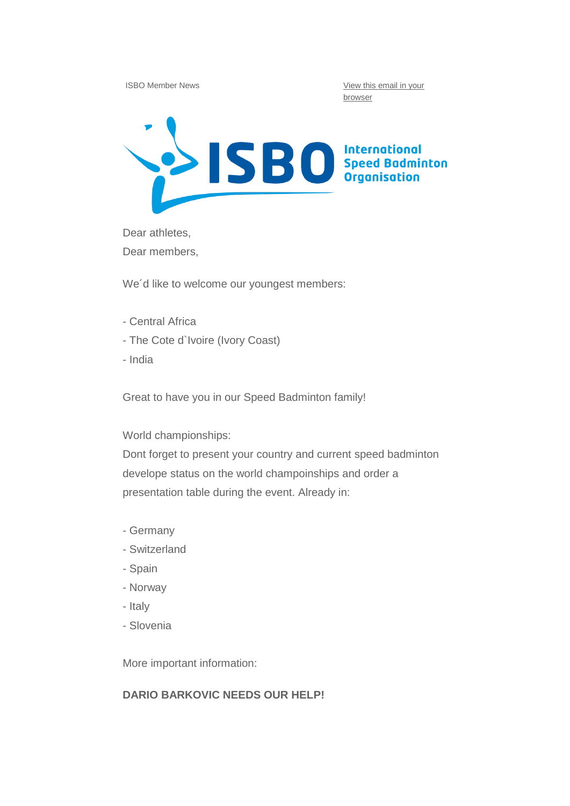ISBO Member News **View this email in your** [browser](http://us10.campaign-archive1.com/?u=f4ffb019b7515fca251ddec41&id=fba85f6c72&e=64ff28cd0d)



Dear athletes,

Dear members,

We'd like to welcome our youngest members:

- Central Africa
- The Cote d`Ivoire (Ivory Coast)
- India

Great to have you in our Speed Badminton family!

World championships:

Dont forget to present your country and current speed badminton develope status on the world champoinships and order a presentation table during the event. Already in:

- Germany
- Switzerland
- Spain
- Norway
- Italy
- Slovenia

More important information:

## **DARIO BARKOVIC NEEDS OUR HELP!**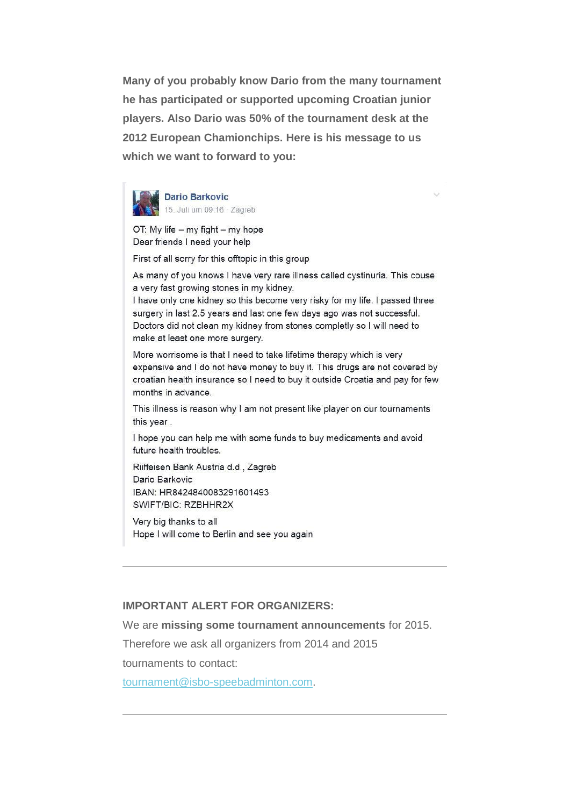**Many of you probably know Dario from the many tournament he has participated or supported upcoming Croatian junior players. Also Dario was 50% of the tournament desk at the 2012 European Chamionchips. Here is his message to us which we want to forward to you:**



**Dario Barkovic** 15. Juli um 09:16 - Zagreb

OT: My life - my fight - my hope Dear friends I need your help

First of all sorry for this offtopic in this group

As many of you knows I have very rare illness called cystinuria. This couse a very fast growing stones in my kidney.

I have only one kidney so this become very risky for my life. I passed three surgery in last 2.5 years and last one few days ago was not successful. Doctors did not clean my kidney from stones completly so I will need to make at least one more surgery.

More worrisome is that I need to take lifetime therapy which is very expensive and I do not have money to buy it. This drugs are not covered by croatian health insurance so I need to buy it outside Croatia and pay for few months in advance.

This illness is reason why I am not present like player on our tournaments this year.

I hope you can help me with some funds to buy medicaments and avoid future health troubles.

Riiffeisen Bank Austria d.d., Zagreb Dario Barkovic IBAN: HR8424840083291601493 SWIFT/BIC: RZBHHR2X

Very big thanks to all Hope I will come to Berlin and see you again

### **IMPORTANT ALERT FOR ORGANIZERS:**

We are **missing some tournament announcements** for 2015.

Therefore we ask all organizers from 2014 and 2015

tournaments to contact:

[tournament@isbo-speebadminton.com.](http://isbo-speedbadminton.us10.list-manage.com/track/click?u=f4ffb019b7515fca251ddec41&id=7b23448685&e=64ff28cd0d)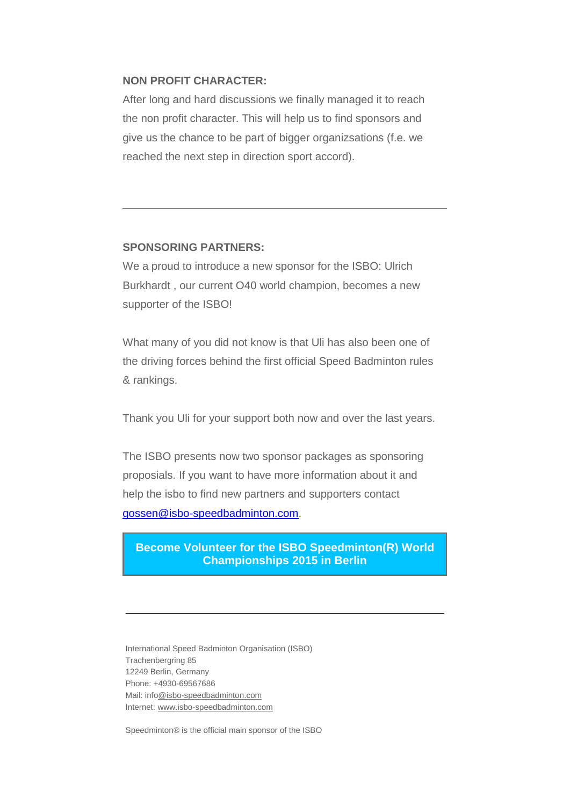### **NON PROFIT CHARACTER:**

After long and hard discussions we finally managed it to reach the non profit character. This will help us to find sponsors and give us the chance to be part of bigger organizsations (f.e. we reached the next step in direction sport accord).

#### **SPONSORING PARTNERS:**

We a proud to introduce a new sponsor for the ISBO: Ulrich Burkhardt , our current O40 world champion, becomes a new supporter of the ISBO!

What many of you did not know is that Uli has also been one of the driving forces behind the first official Speed Badminton rules & rankings.

Thank you Uli for your support both now and over the last years.

The ISBO presents now two sponsor packages as sponsoring proposials. If you want to have more information about it and help the isbo to find new partners and supporters contact [gossen@isbo-speedbadminton.com.](mailto:gossen@isbo-speedbadminton.com)

# **[Become Volunteer for the ISBO Speedminton\(R\) World](http://isbo-speedbadminton.us10.list-manage.com/track/click?u=f4ffb019b7515fca251ddec41&id=a0f18b6e56&e=64ff28cd0d)  [Championships 2015 in Berlin](http://isbo-speedbadminton.us10.list-manage.com/track/click?u=f4ffb019b7515fca251ddec41&id=a0f18b6e56&e=64ff28cd0d)**

International Speed Badminton Organisation (ISBO) Trachenbergring 85 12249 Berlin, Germany Phone: +4930-69567686 Mail: inf[o@isbo-speedbadminton.com](mailto:gossen@isbo-speedbadminton.com) Internet: [www.isbo-speedbadminton.com](http://isbo-speedbadminton.us10.list-manage.com/track/click?u=f4ffb019b7515fca251ddec41&id=26661db53e&e=64ff28cd0d)

Speedminton® is the official main sponsor of the ISBO